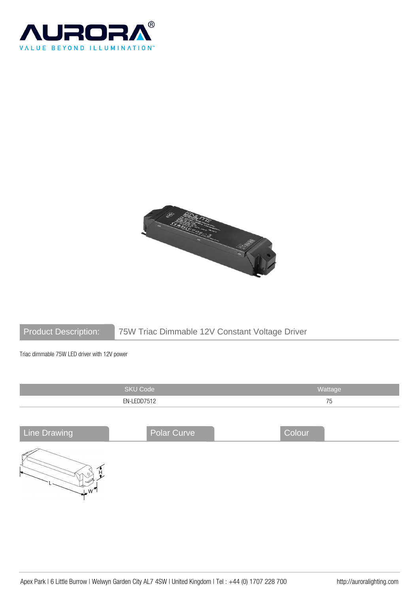



# Product Description: 75W Triac Dimmable 12V Constant Voltage Driver

Triac dimmable 75W LED driver with 12V power